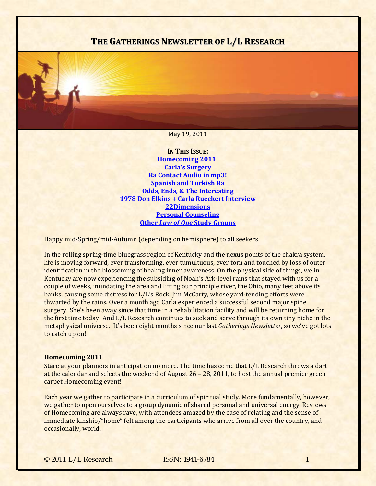# **THE GATHERINGS NEWSLETTER OF L/L RESEARCH**

#### May 19, 2011

**IN THIS ISSUE: [Homecoming](#page-0-0) 2011! Carla's [Surgery](#page-2-0) Ra [Contact](#page-2-1) Audio in mp3! Spanish and [Turkish](#page-3-0) Ra Odds, Ends, & The [Interesting](#page-3-1) 1978 Don Elkins + Carla Rueckert [Interview](#page-5-0) [22Dimensions](#page-5-0) Personal [Counseling](#page-6-0) Other** *Law of One* **Study Groups**

Happy mid‐Spring/mid‐Autumn (depending on hemisphere) to all seekers!

In the rolling spring-time bluegrass region of Kentucky and the nexus points of the chakra system, life is moving forward, ever transforming, ever tumultuous, ever torn and touched by loss of outer identification in the blossoming of healing inner awareness. On the physical side of things, we in Kentucky are now experiencing the subsiding of Noah's Ark-level rains that stayed with us for a couple of weeks, inundating the area and lifting our principle river, the Ohio, many feet above its banks, causing some distress for L/L's Rock, Jim McCarty, whose yard-tending efforts were thwarted by the rains. Over a month ago Carla experienced a successful second major spine surgery! She's been away since that time in a rehabilitation facility and will be returning home for the first time today! And L/L Research continues to seek and serve through its own tiny niche in the metaphysical universe. It's been eight months since our last *Gatherings Newsletter*, so we've got lots to catch up on!

#### <span id="page-0-0"></span>**Homecoming 2011**

Stare at your planners in anticipation no more. The time has come that L/L Research throws a dart at the calendar and selects the weekend of August 26 – 28, 2011, to host the annual premier green carpet Homecoming event!

Each year we gather to participate in a curriculum of spiritual study. More fundamentally, however, we gather to open ourselves to a group dynamic of shared personal and universal energy. Reviews of Homecoming are always rave, with attendees amazed by the ease of relating and the sense of immediate kinship/"home" felt among the participants who arrive from all over the country, and occasionally, world.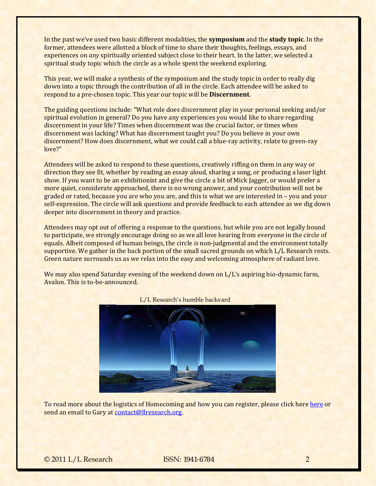In the past we've used two basic different modalities, the **symposium** and the **study topic**. In the former, attendees were allotted a block of time to share their thoughts, feelings, essays, and experiences on *any* spiritually oriented subject close to their heart. In the latter, we selected a spiritual study topic which the circle as a whole spent the weekend exploring.

This year, we will make a synthesis of the symposium and the study topic in order to really dig down into a topic through the contribution of all in the circle. Each attendee will be asked to respond to a pre‐chosen topic. This year our topic will be **Discernment**.

The guiding questions include: "What role does discernment play in your personal seeking and/or spiritual evolution in general? Do you have any experiences you would like to share regarding discernment in your life? Times when discernment was the crucial factor, or times when discernment was lacking? What has discernment taught you? Do you believe in your own discernment? How does discernment, what we could call a blue-ray activity, relate to green-ray love?"

Attendees will be asked to respond to these questions, creatively riffing on them in any way or direction they see fit, whether by reading an essay aloud, sharing a song, or producing a laser light show. If you want to be an exhibitionist and give the circle a bit of Mick Jagger, or would prefer a more quiet, considerate approached, there is no wrong answer, and your contribution will not be graded or rated, because you are who you are, and this is what we are interested in – you and your self-expression. The circle will ask questions and provide feedback to each attendee as we dig down deeper into discernment in theory and practice.

Attendees may opt out of offering a response to the questions, but while you are not legally bound to participate, we strongly encourage doing so as we all love hearing from everyone in the circle of equals. Albeit composed of human beings, the circle *is* non-judgmental and the environment totally supportive. We gather in the back portion of the small sacred grounds on which L/L Research rests. Green nature surrounds us as we relax into the easy and welcoming atmosphere of radiant love.

We may also spend Saturday evening of the weekend down on L/L's aspiring bio-dynamic farm, Avalon. This is to-be-announced.



L/L Research's humble backyard

To read more about the [logistics of Homecoming](mailto:contact@llresearch.org) and how you can register, please click here [here](http://www.bring4th.org/news/index.php?newsid=93) or send an email to Gary at contact@llresearch.org.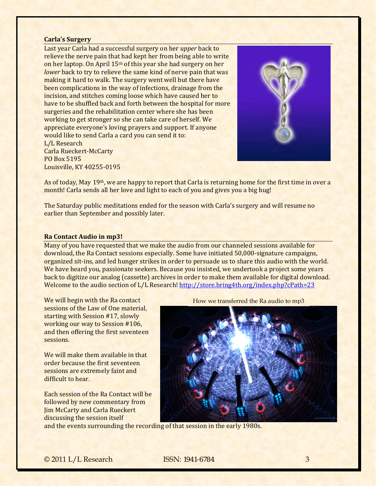#### <span id="page-2-0"></span>**Carla's Surgery**

Last year Carla had a successful surgery on her *upper* back to relieve the nerve pain that had kept her from being able to write on her laptop. On April 15th of this year she had surgery on her *lower* back to try to relieve the same kind of nerve pain that was making it hard to walk. The surgery went well but there have been complications in the way of infections, drainage from the incision, and stitches coming loose which have caused her to have to be shuffled back and forth between the hospital for more surgeries and the rehabilitation center where she has been working to get stronger so she can take care of herself. We appreciate everyone's loving prayers and support. If anyone would like to send Carla a card you can send it to: L/L Research Carla Rueckert‐McCarty PO Box 5195 Louisville, KY 40255‐0195



As of today, May 19th, we are happy to report that Carla is returning home for the first time in over a month! Carla sends all her love and light to each of you and gives you a big hug!

The Saturday public meditations ended for the season with Carla's surgery and will resume no earlier than September and possibly later.

#### <span id="page-2-1"></span>**Ra Contact Audio in mp3!**

Many of you have requested that we make the audio from our channeled sessions available for download, the Ra Contact sessions especially. Some have initiated 50,000‐signature campaigns, organized sit‐ins, and led hunger strikes in order to persuade us to share this audio with the world. We have heard you, passionate seekers. Because you insisted, we undertook a project some years back to digitize our analog (cassette) archives i[n order to make them available for digital down](http://store.bring4th.org/index.php?cPath=23)load. Welcome to the audio section of L/L Research! http://store.bring4th.org/index.php?cPath=23

We will begin with the Ra contact sessions of the Law of One material, starting with Session #17, slowly working our way to Session #106, and then offering the first seventeen sessions.

We will make them available in that order because the first seventeen sessions are extremely faint and difficult to hear.

Each session of the Ra Contact will be followed by new commentary from Jim McCarty and Carla Rueckert discussing the session itself

How we transferred the Ra audio to mp3



and the events surrounding the recordi[ng of that session in the early 1980s.](http://store.bring4th.org/index.php?cPath=23)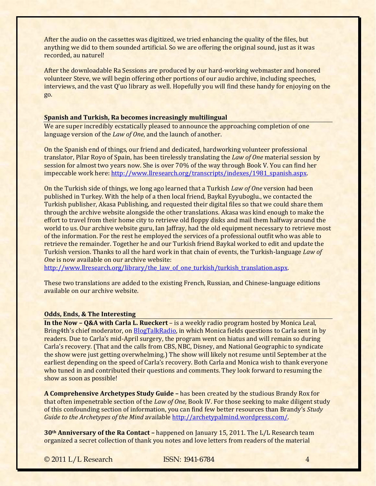After the audio on the cassettes was digitized, we tried enhancing the quality of the files, but anything we did to them sounded artificial. So we are offering the original sound, just as it was recorded, au naturel!

After the downloadable Ra Sessions are produced by our hard-working webmaster and honored volunteer Steve, we will begin offering other portions of our audio archive, including speeches, interviews, and the vast Q'uo library as well. Hopefully you will find these handy for enjoying on the go.

## <span id="page-3-0"></span>**Spanish and Turkish, Ra becomes increasingly multilingual**

We are super incredibly ecstatically pleased to announce the approaching completion of one language version of the *Law of One*, and the launch of another.

On the Spanish end of things, our friend and dedicated, hardworking volunteer professional translator, Pilar Royo of Spain, has been tirelessly translating the *Law of One* material session by session for almost two years now. She is over 70% of the way through Book V. You can find her impeccable work here: [http://www.llresearch.org/transcripts/indexes/1981\\_spanish.aspx.](http://www.llresearch.org/transcripts/indexes/1981_spanish.aspx)

On the Turkish side of things, we long ago learned that a Turkish *Law of One* version had been published in Turkey. With the help of a then local friend, Baykal Eyyuboglu., we contacted the Turkish publisher, Akasa Publishing, and requested their digital files so that we could share them through the archive website alongside the other translations. Akasa was kind enough to make the effort to travel from their home city to retrieve old floppy disks and mail them halfway around the world to us. Our archive website guru, Ian Jaffray, had the old equipment necessary to retrieve most of the information. For the rest he employed the services of a professional outfit who was able to retrieve the remainder. Together he and our Turkish friend Baykal worked to edit and update the Turkish version. Thanks to all the hard work in that chain of events, the Turkish‐language *Law of One* is now available on our archive website:

http://www.llresearch.org/library/the\_law\_of\_one\_turkish/turkish\_translation.aspx.

These two translations are added to the existing French, Russian, and Chinese‐language editions available on our archive website.

# <span id="page-3-1"></span>**Odds, Ends, & The Interesting**

**In the Now – Q&A with Carla L. Rueckert** – is a weekly radio program hosted by Monica Leal, Bring4th's chief moderator, on [BlogTalkRadio,](http://www.blogtalkradio.com/llresearch) in which Monica fields questions to Carla sent in by readers. Due to Carla's mid-April surgery, the program went on hiatus and will remain so during Carla's recovery. (That and the calls from CBS, NBC, Disney, and National Geographic to syndicate the show were just getting overwhelming.) The show will likely not resume until September at the earliest depending on the speed of Carla's recovery. Both Carla and Monica wish to thank everyone who tuned in and contributed their questions and comments. They look forward to resuming the show as soon as possible!

**A Comprehensive Archetypes Study Guide –** has been created by the studious Brandy Rox for that often impenetrable section of the *Law of One*, Book IV. For those seeking to make diligent study of this confounding section of information, you can find few better resources than Brandy's *Study Guide to the Archetypes of the Mind* available [http://archetypalmind.wordpress.com/.](http://archetypalmind.wordpress.com/)

**30th Anniversary of the Ra Contact –** happened on January 15, 2011. The L/L Research team organized a secret collection of thank you notes and love letters from readers of the material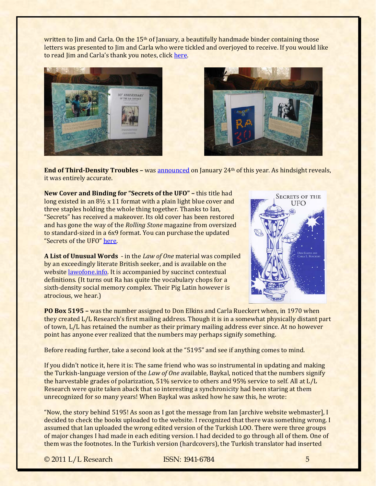written to Jim and Carla. On the 15<sup>th</sup> of January, a beautifully handmade binder containing those letters was presented to Jim and Carla who were tickled and overjoyed to receive. If you would like to read Jim and Carla's thank you notes, click [here.](http://www.bring4th.org/forums/showthread.php?tid=1822&pid=27232#pid27232)





**End of ThirdDensity Troubles –** was [announced](http://www.bring4th.org/forums/showthread.php?tid=2145) on January 24th of this year. As hindsight reveals, it was entirely accurate.

**New Cover and Binding for "Secrets of the UFO" –** this title had long existed in an 8½ x 11 format with a plain light blue cover and three staples holding the whole thing together. Thanks to Ian, "Secrets" has received a makeover. Its old cover has been restored and has gone the way of the *Rolling Stone* magazine from oversized to standard‐sized in a 6x9 format. You can purchase the updated "Secrets of the UFO" [here.](http://store.bring4th.org/product_info.php?cPath=21&products_id=45)

**A List of Unusual Words** ‐ in the *Law of One* material was compiled by an exceedingly literate British seeker, and is available on the website [lawofone.info](http://www.lawofone.info/unusual-words.php). It is accompanied by succinct contextual definitions. (It turns out Ra has quite the vocabulary chops for a sixth-density social memory complex. Their Pig Latin however is atrocious, we hear.)



**PO Box 5195 –** was the number assigned to Don Elkins and Carla Rueckert when, in 1970 when they created L/L Research's first mailing address. Though it is in a somewhat physically distant part of town, L/L has retained the number as their primary mailing address ever since. At no however point has anyone ever realized that the numbers may perhaps signify something.

Before reading further, take a second look at the "5195" and see if anything comes to mind.

If you didn't notice it, here it is: The same friend who was so instrumental in updating and making the Turkish‐language version of the *Law of One* available, Baykal, noticed that the numbers signify the harvestable grades of polarization, 51% service to others and 95% service to self. All at L/L Research were quite taken aback that so interesting a synchronicity had been staring at them unrecognized for so many years! When Baykal was asked how he saw this, he wrote:

"Now, the story behind 5195! As soon as I got the message from Ian [archive website webmaster], I decided to check the books uploaded to the website. I recognized that there was something wrong. I assumed that Ian uploaded the wrong edited version of the Turkish LOO. There were three groups of major changes I had made in each editing version. I had decided to go through all of them. One of them was the footnotes. In the Turkish version (hardcovers), the Turkish translator had inserted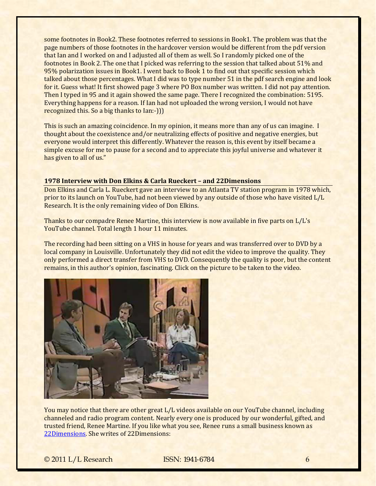some footnotes in Book2. These footnotes referred to sessions in Book1. The problem was that the page numbers of those footnotes in the hardcover version would be different from the pdf version that Ian and I worked on and I adjusted all of them as well. So I randomly picked one of the footnotes in Book 2. The one that I picked was referring to the session that talked about 51% and 95% polarization issues in Book1. I went back to Book 1 to find out that specific session which talked about those percentages. What I did was to type number 51 in the pdf search engine and look for it. Guess what! It first showed page 3 where PO Box number was written. I did not pay attention. Then I typed in 95 and it again showed the same page. There I recognized the combination: 5195. Everything happens for a reason. If Ian had not uploaded the wrong version, I would not have recognized this. So a big thanks to Ian:‐)))

This is such an amazing coincidence. In my opinion, it means more than any of us can imagine. I thought about the coexistence and/or neutralizing effects of positive and negative energies, but everyone would interpret this differently. Whatever the reason is, this event by itself became a simple excuse for me to pause for a second and to appreciate this joyful universe and whatever it has given to all of us."

## <span id="page-5-0"></span>**1978 Interview with Don Elkins & Carla Rueckert – and 22Dimensions**

Don Elkins and Carla L. Rueckert gave an interview to an Atlanta TV station program in 1978 which, prior to its launch on YouTube, had not been viewed by any outside of those who have visited L/L Research. It is the only remaining video of Don Elkins.

Thanks to our compadre Renee Martine, this interview is now available in five parts on L/L's YouTube channel. Total length 1 hour 11 minutes.

The recording had been sitting on a VHS in house for years and was transferred over to DVD by a local company in Louisville. Unfortunately they did not edit the video to improve the quality. They only performed a direct transfer from VHS to DVD. Consequently the quality is poor, but the content remains, in this author's opinion, fascinating. Click on the picture to be taken to the video.



You may notice that there are other great L/L videos available on our YouTube channel, including channeled and radio program content. Nearly every one is produced by our wonderful, gifted, and trusted friend, Renee Martine. If you like what you see, Renee runs a small business known as [22Dimensions.](http://www.22dimensions.com/) She writes of 22Dimensions: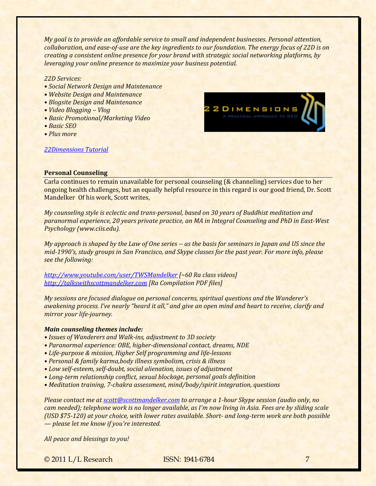*My goal is to provide an affordable service to small and independent businesses. Personal attention,* collaboration, and ease-of-use are the key ingredients to our foundation. The energy focus of 22D is on *creating a consistent online presence for your brand with strategic social networking platforms, by leveraging your online presence to maximize your business potential.* 

## *22D Services:*

- *• Social Network Design and Maintenance*
- *• Website Design and Maintenance*
- *• Blogsite Design and Maintenance*
- *• Video Blogging – Vlog*
- *• Basic Promotional/Marketing Video*
- *• Basic SEO*
- *• Plus more*



## *[22Dimensions](http://www.youtube.com/watch?v=So1Y6VawLvs&feature=player_embedded) Tutorial*

#### <span id="page-6-0"></span>**Personal Counseling**

Carla continues to remain unavailable for personal counseling (& channeling) services due to her ongoing health challenges, but an equally helpful resource in this regard is our good friend, Dr. Scott Mandelker Of his work, Scott writes,

*My counseling style is eclectic and transpersonal, based on 30 years of Buddhist meditation and paranormal experience, 20 years private practice, an MA in Integral Counseling and PhD in EastWest Psychology (www.ciis.edu).* 

My approach is shaped by the Law of One series -- as the basis for seminars in Japan and US since the mid-1990's, study groups in San Francisco, and Skype classes for the past year. For more info, please *see the following:*

*<http://www.youtube.com/user/TWSMandelker> [~60 Ra class videos] [http://talkswithscottmandelker.com](http://talkswithscottmandelker.com/) [Ra Compilation PDF files]*

*My sessions are focused dialogue on personal concerns, spiritual questions and the Wanderer's* awakening process. I've nearly "heard it all," and give an open mind and heart to receive, clarify and *mirror your lifejourney.* 

# *Main counseling themes include:*

- *• Issues of Wanderers and Walkins, adjustment to 3D society*
- *• Paranormal experience: OBE, higherdimensional contact, dreams, NDE*
- *• Lifepurpose & mission, Higher Self programming and lifelessons*
- *• Personal & family karma,body illness symbolism, crisis & illness*
- *• Low selfesteem, selfdoubt, social alienation, issues of adjustment*
- *• Longterm relationship conflict, sexual blockage, personal goals definition*
- *• Meditation training, 7chakra assessment, mind/body/spirit integration, questions*

*Please contact me at [scott@scottmandelker.com](mailto:scott@scottmandelker.com) to arrange a 1hour Skype session (audio only, no* cam needed); telephone work is no longer available, as I'm now living in Asia. Fees are by sliding scale (USD \$75-120) at your choice, with lower rates available. Short- and long-term work are both possible *— please let me know if you're interested.* 

*All peace and blessings to you!*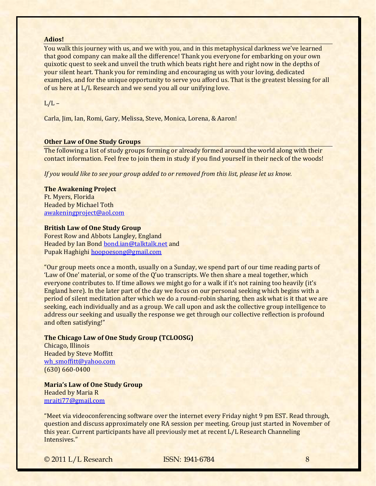## **Adios!**

You walk this journey with us, and we with you, and in this metaphysical darkness we've learned that good company can make all the difference! Thank you everyone for embarking on your own quixotic quest to seek and unveil the truth which beats right here and right now in the depths of your silent heart. Thank you for reminding and encouraging us with your loving, dedicated examples, and for the unique opportunity to serve you afford us. That is the greatest blessing for all of us here at L/L Research and we send you all our unifying love.

# $L/L -$

Carla, Jim, Ian, Romi, Gary, Melissa, Steve, Monica, Lorena, & Aaron!

## **Other Law of One Study Groups**

The following a list of study groups forming or already formed around the world along with their contact information. Feel free to join them in study if you find yourself in their neck of the woods!

*If you would like to see your group added to or removed from this list, please let us know.*

#### **The Awakening Project**

Ft. Myers, Florida Headed by Michael Toth [awakeningproject@aol.com](mailto:awakeningproject@aol.com)

#### **British Law of One Study Group**

Forest Row and Abbots Langley, England Headed by Ian Bond [bond.ian@talktalk.net](mailto:bond.ian@talktalk.net) and Pupak Haghighi hoopoesong@gmail.com

"Our group meets once a month, usually on a Sunday, we spend part of our time reading parts of 'Law of One' material, or some of the Q'uo transcripts. We then share a meal together, which everyone contributes to. If time allows we might go for a walk if it's not raining too heavily (it's England here). In the later part of the day we focus on our personal seeking which begins with a period of silent meditation after which we do a round‐robin sharing, then ask what is it that we are seeking, each individually and as a group. We call upon and ask the collective group intelligence to address our seeking and usually the response we get through our collective reflection is profound and often satisfying!"

## **The Chicago Law of One Study Group (TCLOOSG)**

Chicago, Illinois Headed by Steve Moffitt [wh\\_smoffitt@yahoo.com](mailto:wh_smoffitt@yahoo.com) (630) 660‐0400

**Maria's Law of One Study Group** Headed by Maria R mraiti77@gmail.com

"Meet via videoconferencing software over the internet every Friday night 9 pm EST. Read through, question and discuss approximately one RA session per meeting. Group just started in November of this year. Current participants have all previously met at recent L/L Research Channeling Intensives."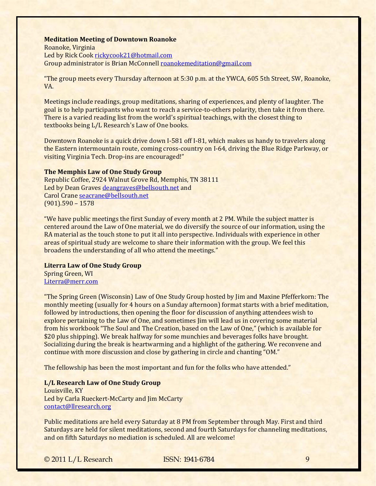#### **Meditation Meeting of Downtown Roanoke**

Roanoke, Virginia Led by Rick Cook rickycook21@hotmail.com Group administra[tor is Brian McConnell roan](mailto:rickycook21@hotmail.com)okemeditation@gmail.com

"The group meets every Thursday afternoon at 5:30 p.m. at the YWCA, 605 5th Street, SW, Roanoke, VA.

Meetings include readings, group meditations, sharing of experiences, and plenty of laughter. The goal is to help participants who want to reach a service‐to‐others polarity, then take it from there. There is a varied reading list from the world's spiritual teachings, with the closest thing to textbooks being L/L Research's Law of One books.

Downtown Roanoke is a quick drive down I-581 off I-81, which makes us handy to travelers along the Eastern intermountain route, coming cross‐country on I‐64, driving the Blue Ridge Parkway, or visiting Virginia Tech. Drop-ins are encouraged!"

# **The Memphis Law of One Study Group**

Republic Coffee, 2924 Walnut Grove Rd, Memphis, TN 38111 Led by Dea[n Graves](mailto:seacrane@bellsouth.net) [deangraves@bellsouth.net](mailto:deangraves@bellsouth.net) and Carol Crane seacrane@bellsouth.net (901).590 – 1578

"We have public meetings the first Sunday of every month at 2 PM. While the subject matter is centered around the Law of One material, we do diversify the source of our information, using the RA material as the touch stone to put it all into perspective. Individuals with experience in other areas of spiritual study are welcome to share their information with the group. We feel this broadens the understanding of all who attend the meetings."

## **Literra Law of One Study Group**

Spring Green, WI Literra@merr.com

"The Spring Green (Wisconsin) Law of One Study Group hosted by Jim and Maxine Pfefferkorn: The monthly meeting (usually for 4 hours on a Sunday afternoon) format starts with a brief meditation, followed by introductions, then opening the floor for discussion of anything attendees wish to explore pertaining to the Law of One, and sometimes Jim will lead us in covering some material from his workbook "The Soul and The Creation, based on the Law of One," (which is available for \$20 plus shipping). We break halfway for some munchies and beverages folks have brought. Socializing during the break is heartwarming and a highlight of the gathering. We reconvene and continue with more discussion and close by gathering in circle and chanting "OM."

The fellowship has been the most important and fun for the folks who have attended."

#### **L/L Research Law of One Study Group**

Louisville, KY Led by Carla Rueckert‐McCarty and Jim McCarty contact@llresearch.org

Public meditations are held every Saturday at 8 PM from September through May. First and third Saturdays are held for silent meditations, second and fourth Saturdays for channeling meditations, and on fifth Saturdays no mediation is scheduled. All are welcome!